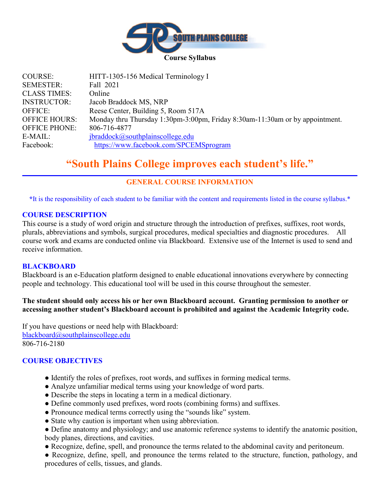

| <b>COURSE:</b>       | HITT-1305-156 Medical Terminology I                                          |
|----------------------|------------------------------------------------------------------------------|
| <b>SEMESTER:</b>     | Fall 2021                                                                    |
| <b>CLASS TIMES:</b>  | Online                                                                       |
| <b>INSTRUCTOR:</b>   | Jacob Braddock MS, NRP                                                       |
| <b>OFFICE:</b>       | Reese Center, Building 5, Room 517A                                          |
| <b>OFFICE HOURS:</b> | Monday thru Thursday 1:30pm-3:00pm, Friday 8:30am-11:30am or by appointment. |
| <b>OFFICE PHONE:</b> | 806-716-4877                                                                 |
| E-MAIL:              | jbraddock@southplainscollege.edu                                             |
| Facebook:            | https://www.facebook.com/SPCEMSprogram                                       |

# **"South Plains College improves each student's life."**

# **GENERAL COURSE INFORMATION**

**\***It is the responsibility of each student to be familiar with the content and requirements listed in the course syllabus.\*

#### **COURSE DESCRIPTION**

This course is a study of word origin and structure through the introduction of prefixes, suffixes, root words, plurals, abbreviations and symbols, surgical procedures, medical specialties and diagnostic procedures. All course work and exams are conducted online via Blackboard. Extensive use of the Internet is used to send and receive information.

#### **BLACKBOARD**

Blackboard is an e-Education platform designed to enable educational innovations everywhere by connecting people and technology. This educational tool will be used in this course throughout the semester.

### **The student should only access his or her own Blackboard account. Granting permission to another or accessing another student's Blackboard account is prohibited and against the Academic Integrity code.**

If you have questions or need help with Blackboard: [blackboard@southplainscollege.edu](mailto:blackboard@southplainscollege.edu) 806-716-2180

### **COURSE OBJECTIVES**

- Identify the roles of prefixes, root words, and suffixes in forming medical terms.
- Analyze unfamiliar medical terms using your knowledge of word parts.
- Describe the steps in locating a term in a medical dictionary.
- Define commonly used prefixes, word roots (combining forms) and suffixes.
- Pronounce medical terms correctly using the "sounds like" system.
- State why caution is important when using abbreviation.
- Define anatomy and physiology; and use anatomic reference systems to identify the anatomic position, body planes, directions, and cavities.
- Recognize, define, spell, and pronounce the terms related to the abdominal cavity and peritoneum.
- Recognize, define, spell, and pronounce the terms related to the structure, function, pathology, and procedures of cells, tissues, and glands.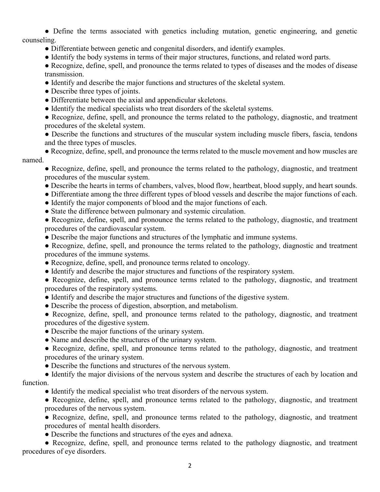● Define the terms associated with genetics including mutation, genetic engineering, and genetic counseling.

- Differentiate between genetic and congenital disorders, and identify examples.
- Identify the body systems in terms of their major structures, functions, and related word parts.
- Recognize, define, spell, and pronounce the terms related to types of diseases and the modes of disease transmission.
- Identify and describe the major functions and structures of the skeletal system.
- Describe three types of joints.
- Differentiate between the axial and appendicular skeletons.
- Identify the medical specialists who treat disorders of the skeletal systems.

• Recognize, define, spell, and pronounce the terms related to the pathology, diagnostic, and treatment procedures of the skeletal system.

- Describe the functions and structures of the muscular system including muscle fibers, fascia, tendons and the three types of muscles.
- Recognize, define, spell, and pronounce the terms related to the muscle movement and how muscles are named.

● Recognize, define, spell, and pronounce the terms related to the pathology, diagnostic, and treatment procedures of the muscular system.

- Describe the hearts in terms of chambers, valves, blood flow, heartbeat, blood supply, and heart sounds.
- Differentiate among the three different types of blood vessels and describe the major functions of each.
- Identify the major components of blood and the major functions of each.
- State the difference between pulmonary and systemic circulation.

• Recognize, define, spell, and pronounce the terms related to the pathology, diagnostic, and treatment procedures of the cardiovascular system.

- Describe the major functions and structures of the lymphatic and immune systems.
- Recognize, define, spell, and pronounce the terms related to the pathology, diagnostic and treatment procedures of the immune systems.
- Recognize, define, spell, and pronounce terms related to oncology.
- Identify and describe the major structures and functions of the respiratory system.
- Recognize, define, spell, and pronounce terms related to the pathology, diagnostic, and treatment procedures of the respiratory systems.
- Identify and describe the major structures and functions of the digestive system.
- Describe the process of digestion, absorption, and metabolism.
- Recognize, define, spell, and pronounce terms related to the pathology, diagnostic, and treatment procedures of the digestive system.
- Describe the major functions of the urinary system.
- Name and describe the structures of the urinary system.
- Recognize, define, spell, and pronounce terms related to the pathology, diagnostic, and treatment procedures of the urinary system.
- Describe the functions and structures of the nervous system.
- Identify the major divisions of the nervous system and describe the structures of each by location and function.
	- Identify the medical specialist who treat disorders of the nervous system.
	- Recognize, define, spell, and pronounce terms related to the pathology, diagnostic, and treatment procedures of the nervous system.
	- Recognize, define, spell, and pronounce terms related to the pathology, diagnostic, and treatment procedures of mental health disorders.
	- Describe the functions and structures of the eyes and adnexa.

• Recognize, define, spell, and pronounce terms related to the pathology diagnostic, and treatment procedures of eye disorders.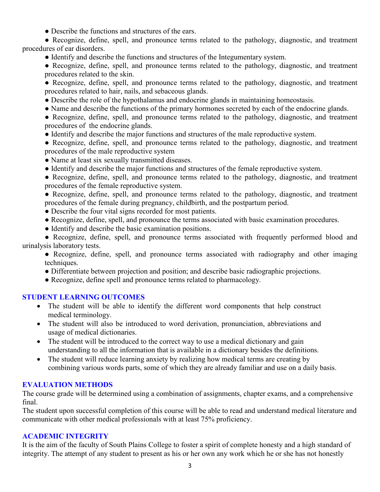• Describe the functions and structures of the ears.

● Recognize, define, spell, and pronounce terms related to the pathology, diagnostic, and treatment procedures of ear disorders.

● Identify and describe the functions and structures of the Integumentary system.

• Recognize, define, spell, and pronounce terms related to the pathology, diagnostic, and treatment procedures related to the skin.

• Recognize, define, spell, and pronounce terms related to the pathology, diagnostic, and treatment procedures related to hair, nails, and sebaceous glands.

- Describe the role of the hypothalamus and endocrine glands in maintaining homeostasis.
- Name and describe the functions of the primary hormones secreted by each of the endocrine glands.

• Recognize, define, spell, and pronounce terms related to the pathology, diagnostic, and treatment procedures of the endocrine glands.

- Identify and describe the major functions and structures of the male reproductive system.
- Recognize, define, spell, and pronounce terms related to the pathology, diagnostic, and treatment procedures of the male reproductive system
- Name at least six sexually transmitted diseases.
- Identify and describe the major functions and structures of the female reproductive system.

● Recognize, define, spell, and pronounce terms related to the pathology, diagnostic, and treatment procedures of the female reproductive system.

● Recognize, define, spell, and pronounce terms related to the pathology, diagnostic, and treatment procedures of the female during pregnancy, childbirth, and the postpartum period.

- Describe the four vital signs recorded for most patients.
- Recognize, define, spell, and pronounce the terms associated with basic examination procedures.
- Identify and describe the basic examination positions.

• Recognize, define, spell, and pronounce terms associated with frequently performed blood and urinalysis laboratory tests.

• Recognize, define, spell, and pronounce terms associated with radiography and other imaging techniques.

● Differentiate between projection and position; and describe basic radiographic projections.

● Recognize, define spell and pronounce terms related to pharmacology.

### **STUDENT LEARNING OUTCOMES**

- The student will be able to identify the different word components that help construct medical terminology.
- The student will also be introduced to word derivation, pronunciation, abbreviations and usage of medical dictionaries.
- The student will be introduced to the correct way to use a medical dictionary and gain understanding to all the information that is available in a dictionary besides the definitions.
- The student will reduce learning anxiety by realizing how medical terms are creating by combining various words parts, some of which they are already familiar and use on a daily basis.

### **EVALUATION METHODS**

The course grade will be determined using a combination of assignments, chapter exams, and a comprehensive final.

The student upon successful completion of this course will be able to read and understand medical literature and communicate with other medical professionals with at least 75% proficiency.

#### **ACADEMIC INTEGRITY**

It is the aim of the faculty of South Plains College to foster a spirit of complete honesty and a high standard of integrity. The attempt of any student to present as his or her own any work which he or she has not honestly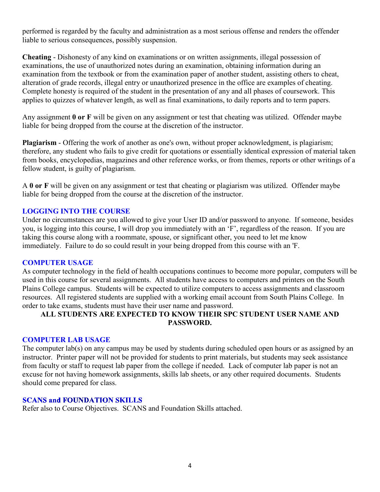performed is regarded by the faculty and administration as a most serious offense and renders the offender liable to serious consequences, possibly suspension.

**Cheating** - Dishonesty of any kind on examinations or on written assignments, illegal possession of examinations, the use of unauthorized notes during an examination, obtaining information during an examination from the textbook or from the examination paper of another student, assisting others to cheat, alteration of grade records, illegal entry or unauthorized presence in the office are examples of cheating. Complete honesty is required of the student in the presentation of any and all phases of coursework. This applies to quizzes of whatever length, as well as final examinations, to daily reports and to term papers.

Any assignment **0 or F** will be given on any assignment or test that cheating was utilized. Offender maybe liable for being dropped from the course at the discretion of the instructor.

**Plagiarism** - Offering the work of another as one's own, without proper acknowledgment, is plagiarism; therefore, any student who fails to give credit for quotations or essentially identical expression of material taken from books, encyclopedias, magazines and other reference works, or from themes, reports or other writings of a fellow student, is guilty of plagiarism.

A **0 or F** will be given on any assignment or test that cheating or plagiarism was utilized. Offender maybe liable for being dropped from the course at the discretion of the instructor.

### **LOGGING INTO THE COURSE**

Under no circumstances are you allowed to give your User ID and/or password to anyone. If someone, besides you, is logging into this course, I will drop you immediately with an 'F', regardless of the reason. If you are taking this course along with a roommate, spouse, or significant other, you need to let me know immediately. Failure to do so could result in your being dropped from this course with an 'F.

#### **COMPUTER USAGE**

As computer technology in the field of health occupations continues to become more popular, computers will be used in this course for several assignments. All students have access to computers and printers on the South Plains College campus. Students will be expected to utilize computers to access assignments and classroom resources. All registered students are supplied with a working email account from South Plains College. In order to take exams, students must have their user name and password.

### **ALL STUDENTS ARE EXPECTED TO KNOW THEIR SPC STUDENT USER NAME AND PASSWORD.**

#### **COMPUTER LAB USAGE**

The computer lab(s) on any campus may be used by students during scheduled open hours or as assigned by an instructor. Printer paper will not be provided for students to print materials, but students may seek assistance from faculty or staff to request lab paper from the college if needed. Lack of computer lab paper is not an excuse for not having homework assignments, skills lab sheets, or any other required documents. Students should come prepared for class.

#### **SCANS and FOUNDATION SKILLS**

Refer also to Course Objectives. SCANS and Foundation Skills attached.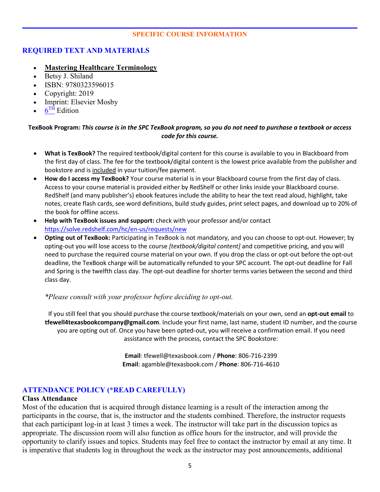#### **SPECIFIC COURSE INFORMATION**

### **REQUIRED TEXT AND MATERIALS**

- **Mastering Healthcare Terminology**
- Betsy J. Shiland
- ISBN: 9780323596015
- Copyright: 2019
- Imprint: Elsevier Mosby
- $6<sup>TH</sup>$  Edition

#### **TexBook Program:** *This course is in the SPC TexBook program, so you do not need to purchase a textbook or access code for this course.*

- **What is TexBook?** The required textbook/digital content for this course is available to you in Blackboard from the first day of class. The fee for the textbook/digital content is the lowest price available from the publisher and bookstore and is included in your tuition/fee payment.
- **How do I access my TexBook?** Your course material is in your Blackboard course from the first day of class. Access to your course material is provided either by RedShelf or other links inside your Blackboard course. RedShelf (and many publisher's) ebook features include the ability to hear the text read aloud, highlight, take notes, create flash cards, see word definitions, build study guides, print select pages, and download up to 20% of the book for offline access.
- **Help with TexBook issues and support:** check with your professor and/or contact <https://solve.redshelf.com/hc/en-us/requests/new>
- **Opting out of TexBook:** Participating in TexBook is not mandatory, and you can choose to opt-out. However; by opting-out you will lose access to the course *[textbook/digital content]* and competitive pricing, and you will need to purchase the required course material on your own. If you drop the class or opt-out before the opt-out deadline, the TexBook charge will be automatically refunded to your SPC account. The opt-out deadline for Fall and Spring is the twelfth class day. The opt-out deadline for shorter terms varies between the second and third class day.

#### *\*Please consult with your professor before deciding to opt-out.*

If you still feel that you should purchase the course textbook/materials on your own, send an **opt-out email** to **tfewell4texasbookcompany@gmail.com**. Include your first name, last name, student ID number, and the course you are opting out of. Once you have been opted-out, you will receive a confirmation email. If you need assistance with the process, contact the SPC Bookstore:

> **Email**: tfewell@texasbook.com / **Phone**: 806-716-2399 **Email**: agamble@texasbook.com / **Phone**: 806-716-4610

### **ATTENDANCE POLICY (\*READ CAREFULLY)**

#### **Class Attendance**

Most of the education that is acquired through distance learning is a result of the interaction among the participants in the course, that is, the instructor and the students combined. Therefore, the instructor requests that each participant log-in at least 3 times a week. The instructor will take part in the discussion topics as appropriate. The discussion room will also function as office hours for the instructor, and will provide the opportunity to clarify issues and topics. Students may feel free to contact the instructor by email at any time. It is imperative that students log in throughout the week as the instructor may post announcements, additional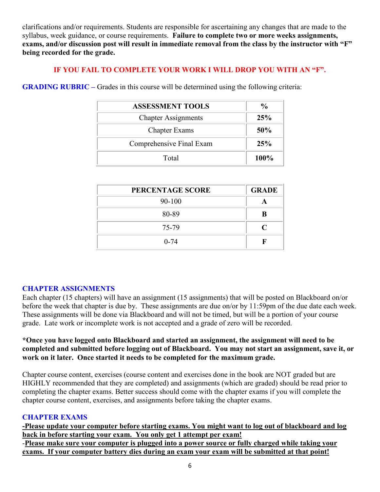clarifications and/or requirements. Students are responsible for ascertaining any changes that are made to the syllabus, week guidance, or course requirements. **Failure to complete two or more weeks assignments, exams, and/or discussion post will result in immediate removal from the class by the instructor with "F" being recorded for the grade.**

### **IF YOU FAIL TO COMPLETE YOUR WORK I WILL DROP YOU WITH AN "F".**

**GRADING RUBRIC –** Grades in this course will be determined using the following criteria:

| <b>ASSESSMENT TOOLS</b>    | $\frac{6}{9}$ |
|----------------------------|---------------|
| <b>Chapter Assignments</b> | 25%           |
| <b>Chapter Exams</b>       | 50%           |
| Comprehensive Final Exam   | 25%           |
| Total                      | 100%          |

| PERCENTAGE SCORE | <b>GRADE</b>   |
|------------------|----------------|
| 90-100           |                |
| 80-89            | B              |
| 75-79            | $\blacksquare$ |
| $0 - 74$         |                |

### **CHAPTER ASSIGNMENTS**

Each chapter (15 chapters) will have an assignment (15 assignments) that will be posted on Blackboard on/or before the week that chapter is due by. These assignments are due on/or by 11:59pm of the due date each week. These assignments will be done via Blackboard and will not be timed, but will be a portion of your course grade. Late work or incomplete work is not accepted and a grade of zero will be recorded.

### **\*Once you have logged onto Blackboard and started an assignment, the assignment will need to be completed and submitted before logging out of Blackboard. You may not start an assignment, save it, or work on it later. Once started it needs to be completed for the maximum grade.**

Chapter course content, exercises (course content and exercises done in the book are NOT graded but are HIGHLY recommended that they are completed) and assignments (which are graded) should be read prior to completing the chapter exams. Better success should come with the chapter exams if you will complete the chapter course content, exercises, and assignments before taking the chapter exams.

### **CHAPTER EXAMS**

**-Please update your computer before starting exams. You might want to log out of blackboard and log back in before starting your exam. You only get 1 attempt per exam!** -**Please make sure your computer is plugged into a power source or fully charged while taking your exams. If your computer battery dies during an exam your exam will be submitted at that point!**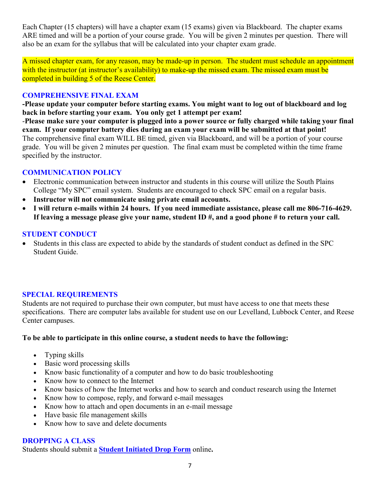Each Chapter (15 chapters) will have a chapter exam (15 exams) given via Blackboard. The chapter exams ARE timed and will be a portion of your course grade. You will be given 2 minutes per question. There will also be an exam for the syllabus that will be calculated into your chapter exam grade.

A missed chapter exam, for any reason, may be made-up in person. The student must schedule an appointment with the instructor (at instructor's availability) to make-up the missed exam. The missed exam must be completed in building 5 of the Reese Center.

### **COMPREHENSIVE FINAL EXAM**

**-Please update your computer before starting exams. You might want to log out of blackboard and log back in before starting your exam. You only get 1 attempt per exam!**

-**Please make sure your computer is plugged into a power source or fully charged while taking your final exam. If your computer battery dies during an exam your exam will be submitted at that point!** The comprehensive final exam WILL BE timed, given via Blackboard, and will be a portion of your course grade. You will be given 2 minutes per question. The final exam must be completed within the time frame specified by the instructor.

### **COMMUNICATION POLICY**

- Electronic communication between instructor and students in this course will utilize the South Plains College "My SPC" email system. Students are encouraged to check SPC email on a regular basis.
- **Instructor will not communicate using private email accounts.**
- **I will return e-mails within 24 hours. If you need immediate assistance, please call me 806-716-4629. If leaving a message please give your name, student ID #, and a good phone # to return your call.**

# **STUDENT CONDUCT**

• Students in this class are expected to abide by the standards of student conduct as defined in the SPC Student Guide.

### **SPECIAL REQUIREMENTS**

Students are not required to purchase their own computer, but must have access to one that meets these specifications. There are computer labs available for student use on our Levelland, Lubbock Center, and Reese Center campuses.

### **To be able to participate in this online course, a student needs to have the following:**

- Typing skills
- Basic word processing skills
- Know basic functionality of a computer and how to do basic troubleshooting
- Know how to connect to the Internet
- Know basics of how the Internet works and how to search and conduct research using the Internet
- Know how to compose, reply, and forward e-mail messages
- Know how to attach and open documents in an e-mail message
- Have basic file management skills
- Know how to save and delete documents

### **DROPPING A CLASS**

Students should submit a **[Student Initiated Drop Form](https://forms.office.com/Pages/ResponsePage.aspx?id=ZrGRbWrP6UWeIqAmJdCCqRkmPIpp6AVCixFJfcqITt9UODExTUFXS0JOODhJOTlYM0NEV1kzRk9GMS4u)** online**.**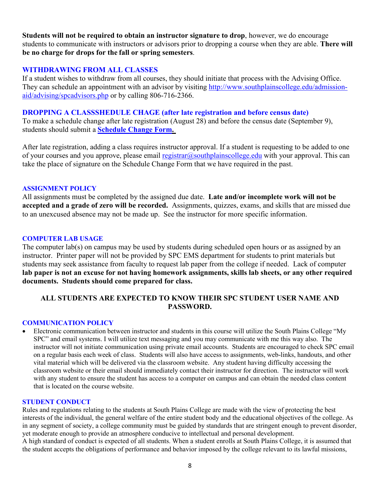**Students will not be required to obtain an instructor signature to drop**, however, we do encourage students to communicate with instructors or advisors prior to dropping a course when they are able. **There will be no charge for drops for the fall or spring semesters**.

### **WITHDRAWING FROM ALL CLASSES**

If a student wishes to withdraw from all courses, they should initiate that process with the Advising Office. They can schedule an appointment with an advisor by visiting [http://www.southplainscollege.edu/admission](http://www.southplainscollege.edu/admission-aid/advising/spcadvisors.php)[aid/advising/spcadvisors.php](http://www.southplainscollege.edu/admission-aid/advising/spcadvisors.php) or by calling 806-716-2366.

#### **DROPPING A CLASSSHEDULE CHAGE (after late registration and before census date)**

To make a schedule change after late registration (August 28) and before the census date (September 9), students should submit a **[Schedule Change Form.](https://forms.office.com/Pages/ResponsePage.aspx?id=ZrGRbWrP6UWeIqAmJdCCqRkmPIpp6AVCixFJfcqITt9UODIyTkRZSkFHVDNSVFRFV0g0T0tVWVAwRi4u)**

After late registration, adding a class requires instructor approval. If a student is requesting to be added to one of your courses and you approve, please email [registrar@southplainscollege.edu](mailto:registrar@southplainscollege.edu) with your approval. This can take the place of signature on the Schedule Change Form that we have required in the past.

#### **ASSIGNMENT POLICY**

All assignments must be completed by the assigned due date. **Late and/or incomplete work will not be accepted and a grade of zero will be recorded.** Assignments, quizzes, exams, and skills that are missed due to an unexcused absence may not be made up. See the instructor for more specific information.

#### **COMPUTER LAB USAGE**

The computer lab(s) on campus may be used by students during scheduled open hours or as assigned by an instructor. Printer paper will not be provided by SPC EMS department for students to print materials but students may seek assistance from faculty to request lab paper from the college if needed. Lack of computer **lab paper is not an excuse for not having homework assignments, skills lab sheets, or any other required documents. Students should come prepared for class.**

### **ALL STUDENTS ARE EXPECTED TO KNOW THEIR SPC STUDENT USER NAME AND PASSWORD.**

#### **COMMUNICATION POLICY**

• Electronic communication between instructor and students in this course will utilize the South Plains College "My SPC" and email systems. I will utilize text messaging and you may communicate with me this way also. The instructor will not initiate communication using private email accounts. Students are encouraged to check SPC email on a regular basis each week of class. Students will also have access to assignments, web-links, handouts, and other vital material which will be delivered via the classroom website. Any student having difficulty accessing the classroom website or their email should immediately contact their instructor for direction. The instructor will work with any student to ensure the student has access to a computer on campus and can obtain the needed class content that is located on the course website.

#### **STUDENT CONDUCT**

Rules and regulations relating to the students at South Plains College are made with the view of protecting the best interests of the individual, the general welfare of the entire student body and the educational objectives of the college. As in any segment of society, a college community must be guided by standards that are stringent enough to prevent disorder, yet moderate enough to provide an atmosphere conducive to intellectual and personal development. A high standard of conduct is expected of all students. When a student enrolls at South Plains College, it is assumed that the student accepts the obligations of performance and behavior imposed by the college relevant to its lawful missions,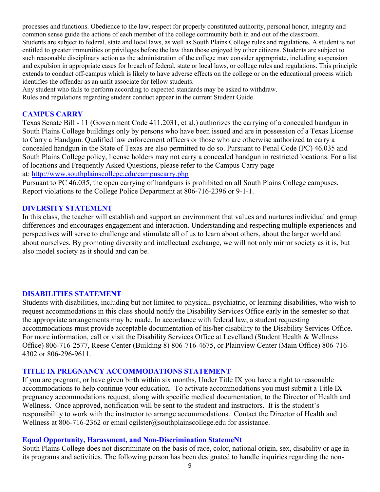processes and functions. Obedience to the law, respect for properly constituted authority, personal honor, integrity and common sense guide the actions of each member of the college community both in and out of the classroom. Students are subject to federal, state and local laws, as well as South Plains College rules and regulations. A student is not entitled to greater immunities or privileges before the law than those enjoyed by other citizens. Students are subject to such reasonable disciplinary action as the administration of the college may consider appropriate, including suspension and expulsion in appropriate cases for breach of federal, state or local laws, or college rules and regulations. This principle extends to conduct off-campus which is likely to have adverse effects on the college or on the educational process which identifies the offender as an unfit associate for fellow students.

Any student who fails to perform according to expected standards may be asked to withdraw.

Rules and regulations regarding student conduct appear in the current Student Guide.

#### **CAMPUS CARRY**

Texas Senate Bill - 11 (Government Code 411.2031, et al.) authorizes the carrying of a concealed handgun in South Plains College buildings only by persons who have been issued and are in possession of a Texas License to Carry a Handgun. Qualified law enforcement officers or those who are otherwise authorized to carry a concealed handgun in the State of Texas are also permitted to do so. Pursuant to Penal Code (PC) 46.035 and South Plains College policy, license holders may not carry a concealed handgun in restricted locations. For a list of locations and Frequently Asked Questions, please refer to the Campus Carry page

at: <http://www.southplainscollege.edu/campuscarry.php>

Pursuant to PC 46.035, the open carrying of handguns is prohibited on all South Plains College campuses. Report violations to the College Police Department at 806-716-2396 or 9-1-1.

#### **DIVERSITY STATEMENT**

In this class, the teacher will establish and support an environment that values and nurtures individual and group differences and encourages engagement and interaction. Understanding and respecting multiple experiences and perspectives will serve to challenge and stimulate all of us to learn about others, about the larger world and about ourselves. By promoting diversity and intellectual exchange, we will not only mirror society as it is, but also model society as it should and can be.

#### **DISABILITIES STATEMENT**

Students with disabilities, including but not limited to physical, psychiatric, or learning disabilities, who wish to request accommodations in this class should notify the Disability Services Office early in the semester so that the appropriate arrangements may be made. In accordance with federal law, a student requesting accommodations must provide acceptable documentation of his/her disability to the Disability Services Office. For more information, call or visit the Disability Services Office at Levelland (Student Health & Wellness Office) 806-716-2577, Reese Center (Building 8) 806-716-4675, or Plainview Center (Main Office) 806-716- 4302 or 806-296-9611.

#### **TITLE IX PREGNANCY ACCOMMODATIONS STATEMENT**

If you are pregnant, or have given birth within six months, Under Title IX you have a right to reasonable accommodations to help continue your education. To activate accommodations you must submit a Title IX pregnancy accommodations request, along with specific medical documentation, to the Director of Health and Wellness. Once approved, notification will be sent to the student and instructors. It is the student's responsibility to work with the instructor to arrange accommodations. Contact the Director of Health and Wellness at 806-716-2362 or email cgilster@southplainscollege.edu for assistance.

#### **Equal Opportunity, Harassment, and Non-Discrimination StatemeNt**

South Plains College does not discriminate on the basis of race, color, national origin, sex, disability or age in its programs and activities. The following person has been designated to handle inquiries regarding the non-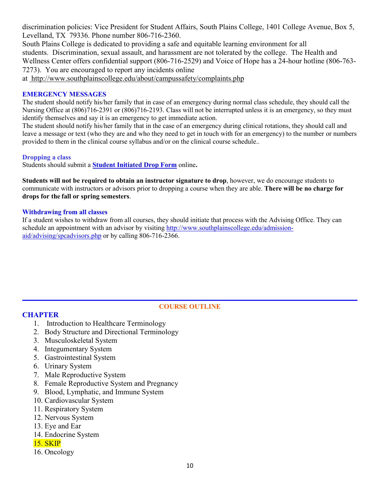discrimination policies: Vice President for Student Affairs, South Plains College, 1401 College Avenue, Box 5, Levelland, TX 79336. Phone number 806-716-2360.

South Plains College is dedicated to providing a safe and equitable learning environment for all students. Discrimination, sexual assault, and harassment are not tolerated by the college. The Health and Wellness Center offers confidential support (806-716-2529) and Voice of Hope has a 24-hour hotline (806-763- 7273). You are encouraged to report any incidents online at <http://www.southplainscollege.edu/about/campussafety/complaints.php>

#### **EMERGENCY MESSAGES**

The student should notify his/her family that in case of an emergency during normal class schedule, they should call the Nursing Office at (806)716-2391 or (806)716-2193. Class will not be interrupted unless it is an emergency, so they must identify themselves and say it is an emergency to get immediate action.

The student should notify his/her family that in the case of an emergency during clinical rotations, they should call and leave a message or text (who they are and who they need to get in touch with for an emergency) to the number or numbers provided to them in the clinical course syllabus and/or on the clinical course schedule..

#### **Dropping a class**

Students should submit a **[Student Initiated Drop Form](https://forms.office.com/Pages/ResponsePage.aspx?id=ZrGRbWrP6UWeIqAmJdCCqRkmPIpp6AVCixFJfcqITt9UODExTUFXS0JOODhJOTlYM0NEV1kzRk9GMS4u)** online**.**

**Students will not be required to obtain an instructor signature to drop**, however, we do encourage students to communicate with instructors or advisors prior to dropping a course when they are able. **There will be no charge for drops for the fall or spring semesters**.

#### **Withdrawing from all classes**

If a student wishes to withdraw from all courses, they should initiate that process with the Advising Office. They can schedule an appointment with an advisor by visiting [http://www.southplainscollege.edu/admission](http://www.southplainscollege.edu/admission-aid/advising/spcadvisors.php)[aid/advising/spcadvisors.php](http://www.southplainscollege.edu/admission-aid/advising/spcadvisors.php) or by calling 806-716-2366.

### **CHAPTER**

#### **COURSE OUTLINE**

- 1. Introduction to Healthcare Terminology
- 2. Body Structure and Directional Terminology
- 3. Musculoskeletal System
- 4. Integumentary System
- 5. Gastrointestinal System
- 6. Urinary System
- 7. Male Reproductive System
- 8. Female Reproductive System and Pregnancy
- 9. Blood, Lymphatic, and Immune System
- 10. Cardiovascular System
- 11. Respiratory System
- 12. Nervous System
- 13. Eye and Ear
- 14. Endocrine System
- 15. SKIP
- 16. Oncology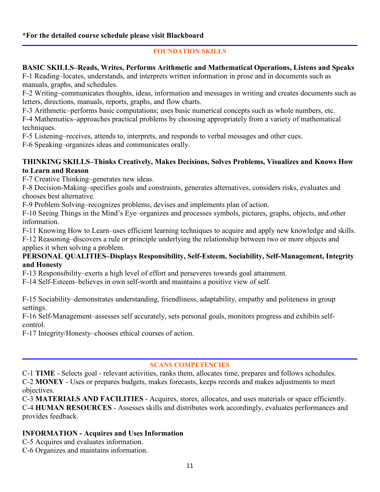### **\*For the detailed course schedule please visit Blackboard**

### **FOUNDATION SKILLS**

### **BASIC SKILLS–Reads, Writes, Performs Arithmetic and Mathematical Operations, Listens and Speaks**

F-1 Reading–locates, understands, and interprets written information in prose and in documents such as manuals, graphs, and schedules.

F-2 Writing–communicates thoughts, ideas, information and messages in writing and creates documents such as letters, directions, manuals, reports, graphs, and flow charts.

F-3 Arithmetic–performs basic computations; uses basic numerical concepts such as whole numbers, etc.

F-4 Mathematics–approaches practical problems by choosing appropriately from a variety of mathematical techniques.

F-5 Listening–receives, attends to, interprets, and responds to verbal messages and other cues.

F-6 Speaking–organizes ideas and communicates orally.

### **THINKING SKILLS–Thinks Creatively, Makes Decisions, Solves Problems, Visualizes and Knows How to Learn and Reason**

F-7 Creative Thinking–generates new ideas.

F-8 Decision-Making–specifies goals and constraints, generates alternatives, considers risks, evaluates and chooses best alternative.

F-9 Problem Solving–recognizes problems, devises and implements plan of action.

F-10 Seeing Things in the Mind's Eye–organizes and processes symbols, pictures, graphs, objects, and other information.

F-11 Knowing How to Learn–uses efficient learning techniques to acquire and apply new knowledge and skills.

F-12 Reasoning–discovers a rule or principle underlying the relationship between two or more objects and applies it when solving a problem.

### **PERSONAL QUALITIES–Displays Responsibility, Self-Esteem, Sociability, Self-Management, Integrity and Honesty**

F-13 Responsibility–exerts a high level of effort and perseveres towards goal attainment.

F-14 Self-Esteem–believes in own self-worth and maintains a positive view of self.

F-15 Sociability–demonstrates understanding, friendliness, adaptability, empathy and politeness in group settings.

F-16 Self-Management–assesses self accurately, sets personal goals, monitors progress and exhibits selfcontrol.

F-17 Integrity/Honesty–chooses ethical courses of action.

### **SCANS COMPETENCIES**

C-1 **TIME** - Selects goal - relevant activities, ranks them, allocates time, prepares and follows schedules. C-2 **MONEY** - Uses or prepares budgets, makes forecasts, keeps records and makes adjustments to meet objectives.

C-3 **MATERIALS AND FACILITIES** - Acquires, stores, allocates, and uses materials or space efficiently. C-4 **HUMAN RESOURCES** - Assesses skills and distributes work accordingly, evaluates performances and provides feedback.

### **INFORMATION - Acquires and Uses Information**

C-5 Acquires and evaluates information.

C-6 Organizes and maintains information.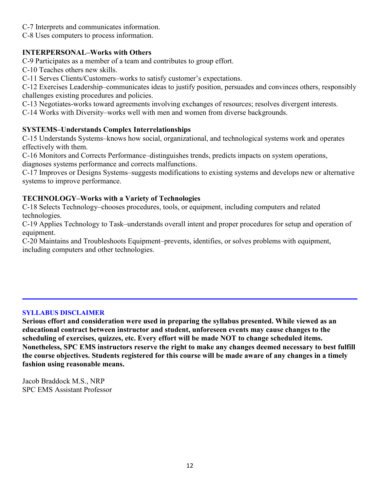- C-7 Interprets and communicates information.
- C-8 Uses computers to process information.

### **INTERPERSONAL–Works with Others**

C-9 Participates as a member of a team and contributes to group effort.

C-10 Teaches others new skills.

C-11 Serves Clients/Customers–works to satisfy customer's expectations.

C-12 Exercises Leadership–communicates ideas to justify position, persuades and convinces others, responsibly challenges existing procedures and policies.

C-13 Negotiates-works toward agreements involving exchanges of resources; resolves divergent interests.

C-14 Works with Diversity–works well with men and women from diverse backgrounds.

### **SYSTEMS–Understands Complex Interrelationships**

C-15 Understands Systems–knows how social, organizational, and technological systems work and operates effectively with them.

C-16 Monitors and Corrects Performance–distinguishes trends, predicts impacts on system operations, diagnoses systems performance and corrects malfunctions.

C-17 Improves or Designs Systems–suggests modifications to existing systems and develops new or alternative systems to improve performance.

### **TECHNOLOGY–Works with a Variety of Technologies**

C-18 Selects Technology–chooses procedures, tools, or equipment, including computers and related technologies.

C-19 Applies Technology to Task–understands overall intent and proper procedures for setup and operation of equipment.

C-20 Maintains and Troubleshoots Equipment–prevents, identifies, or solves problems with equipment, including computers and other technologies.

### **SYLLABUS DISCLAIMER**

**Serious effort and consideration were used in preparing the syllabus presented. While viewed as an educational contract between instructor and student, unforeseen events may cause changes to the scheduling of exercises, quizzes, etc. Every effort will be made NOT to change scheduled items. Nonetheless, SPC EMS instructors reserve the right to make any changes deemed necessary to best fulfill the course objectives. Students registered for this course will be made aware of any changes in a timely fashion using reasonable means.** 

Jacob Braddock M.S., NRP SPC EMS Assistant Professor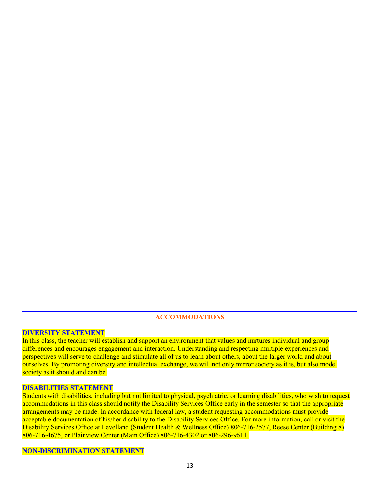#### **ACCOMMODATIONS**

### **DIVERSITY STATEMENT**

In this class, the teacher will establish and support an environment that values and nurtures individual and group differences and encourages engagement and interaction. Understanding and respecting multiple experiences and perspectives will serve to challenge and stimulate all of us to learn about others, about the larger world and about ourselves. By promoting diversity and intellectual exchange, we will not only mirror society as it is, but also model society as it should and can be.

#### **DISABILITIES STATEMENT**

Students with disabilities, including but not limited to physical, psychiatric, or learning disabilities, who wish to request accommodations in this class should notify the Disability Services Office early in the semester so that the appropriate arrangements may be made. In accordance with federal law, a student requesting accommodations must provide acceptable documentation of his/her disability to the Disability Services Office. For more information, call or visit the Disability Services Office at Levelland (Student Health & Wellness Office) 806-716-2577, Reese Center (Building 8) 806-716-4675, or Plainview Center (Main Office) 806-716-4302 or 806-296-9611.

#### **NON-DISCRIMINATION STATEMENT**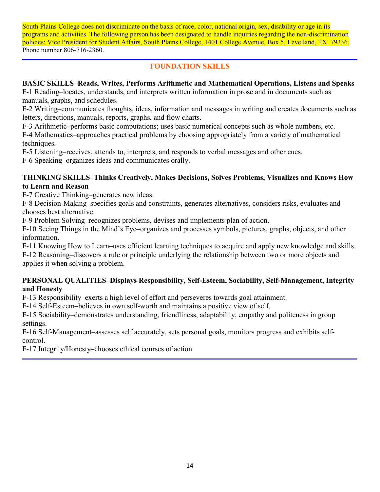South Plains College does not discriminate on the basis of race, color, national origin, sex, disability or age in its programs and activities. The following person has been designated to handle inquiries regarding the non-discrimination policies: Vice President for Student Affairs, South Plains College, 1401 College Avenue, Box 5, Levelland, TX 79336. Phone number 806-716-2360.

### **FOUNDATION SKILLS**

### **BASIC SKILLS–Reads, Writes, Performs Arithmetic and Mathematical Operations, Listens and Speaks**

F-1 Reading–locates, understands, and interprets written information in prose and in documents such as manuals, graphs, and schedules.

F-2 Writing–communicates thoughts, ideas, information and messages in writing and creates documents such as letters, directions, manuals, reports, graphs, and flow charts.

F-3 Arithmetic–performs basic computations; uses basic numerical concepts such as whole numbers, etc.

F-4 Mathematics–approaches practical problems by choosing appropriately from a variety of mathematical techniques.

F-5 Listening–receives, attends to, interprets, and responds to verbal messages and other cues.

F-6 Speaking–organizes ideas and communicates orally.

### **THINKING SKILLS–Thinks Creatively, Makes Decisions, Solves Problems, Visualizes and Knows How to Learn and Reason**

F-7 Creative Thinking–generates new ideas.

F-8 Decision-Making–specifies goals and constraints, generates alternatives, considers risks, evaluates and chooses best alternative.

F-9 Problem Solving–recognizes problems, devises and implements plan of action.

F-10 Seeing Things in the Mind's Eye–organizes and processes symbols, pictures, graphs, objects, and other information.

F-11 Knowing How to Learn–uses efficient learning techniques to acquire and apply new knowledge and skills.

F-12 Reasoning–discovers a rule or principle underlying the relationship between two or more objects and applies it when solving a problem.

### **PERSONAL QUALITIES–Displays Responsibility, Self-Esteem, Sociability, Self-Management, Integrity and Honesty**

F-13 Responsibility–exerts a high level of effort and perseveres towards goal attainment.

F-14 Self-Esteem–believes in own self-worth and maintains a positive view of self.

F-15 Sociability–demonstrates understanding, friendliness, adaptability, empathy and politeness in group settings.

F-16 Self-Management–assesses self accurately, sets personal goals, monitors progress and exhibits selfcontrol.

F-17 Integrity/Honesty–chooses ethical courses of action.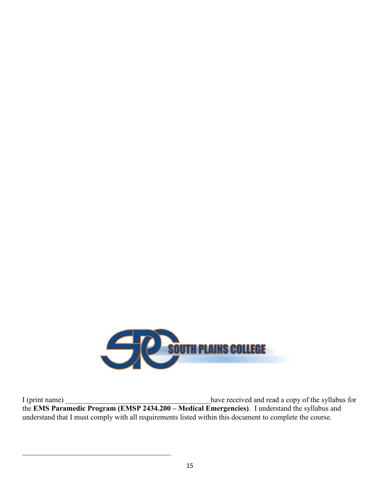

I (print name) \_\_\_\_\_\_\_\_\_\_\_\_\_\_\_\_\_\_\_\_\_\_\_\_\_\_\_\_\_\_\_\_\_\_\_\_\_\_\_have received and read a copy of the syllabus for the **EMS Paramedic Program (EMSP 2434.200 – Medical Emergencies)**. I understand the syllabus and understand that I must comply with all requirements listed within this document to complete the course.

 $\overline{\mathcal{L}}$  , and the state of the state of the state of the state of the state of the state of the state of the state of the state of the state of the state of the state of the state of the state of the state of the stat